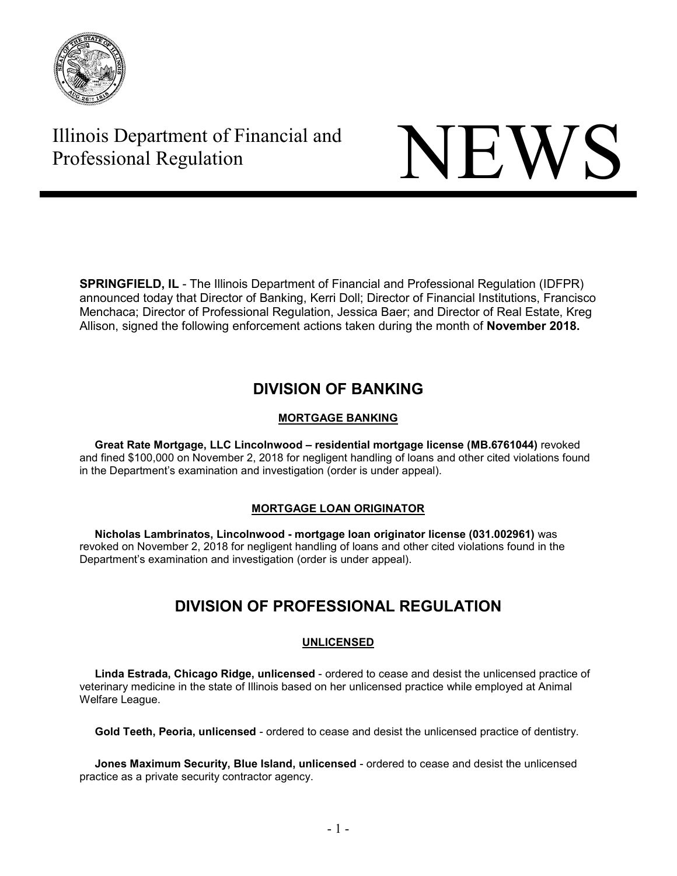

# Illinois Department of Financial and Thinois Department of Financial and<br>Professional Regulation



**SPRINGFIELD, IL** - The Illinois Department of Financial and Professional Regulation (IDFPR) announced today that Director of Banking, Kerri Doll; Director of Financial Institutions, Francisco Menchaca; Director of Professional Regulation, Jessica Baer; and Director of Real Estate, Kreg Allison, signed the following enforcement actions taken during the month of **November 2018.** 

## **DIVISION OF BANKING**

## **MORTGAGE BANKING**

 **Great Rate Mortgage, LLC Lincolnwood – residential mortgage license (MB.6761044)** revoked and fined \$100,000 on November 2, 2018 for negligent handling of loans and other cited violations found in the Department's examination and investigation (order is under appeal).

## **MORTGAGE LOAN ORIGINATOR**

 **Nicholas Lambrinatos, Lincolnwood - mortgage loan originator license (031.002961)** was revoked on November 2, 2018 for negligent handling of loans and other cited violations found in the Department's examination and investigation (order is under appeal).

## **DIVISION OF PROFESSIONAL REGULATION**

## **UNLICENSED**

 **Linda Estrada, Chicago Ridge, unlicensed** - ordered to cease and desist the unlicensed practice of veterinary medicine in the state of Illinois based on her unlicensed practice while employed at Animal Welfare League.

**Gold Teeth, Peoria, unlicensed** - ordered to cease and desist the unlicensed practice of dentistry.

 **Jones Maximum Security, Blue Island, unlicensed** - ordered to cease and desist the unlicensed practice as a private security contractor agency.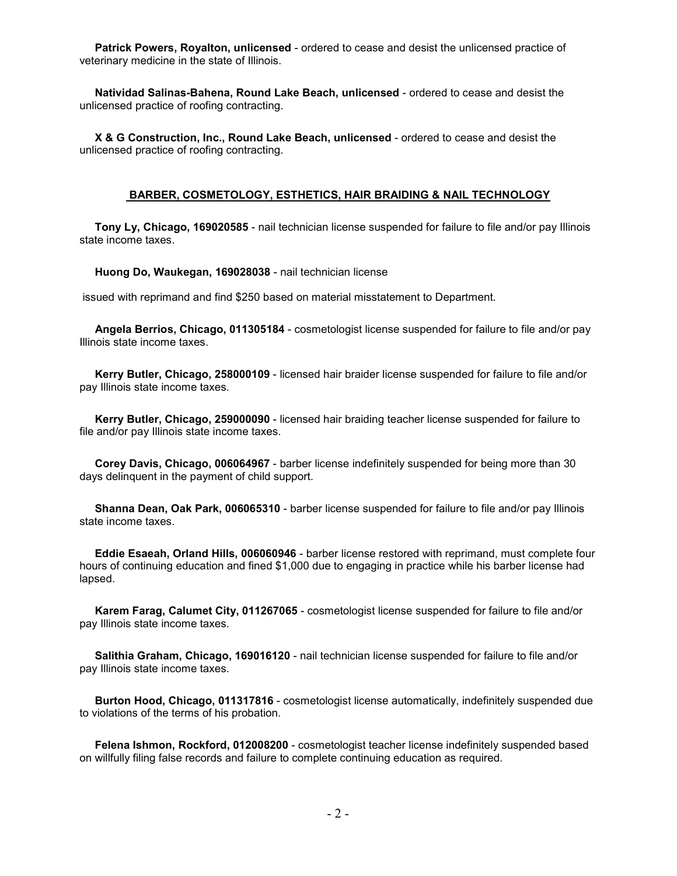**Patrick Powers, Royalton, unlicensed** - ordered to cease and desist the unlicensed practice of veterinary medicine in the state of Illinois.

 **Natividad Salinas-Bahena, Round Lake Beach, unlicensed** - ordered to cease and desist the unlicensed practice of roofing contracting.

 **X & G Construction, Inc., Round Lake Beach, unlicensed** - ordered to cease and desist the unlicensed practice of roofing contracting.

#### **BARBER, COSMETOLOGY, ESTHETICS, HAIR BRAIDING & NAIL TECHNOLOGY**

 **Tony Ly, Chicago, 169020585** - nail technician license suspended for failure to file and/or pay Illinois state income taxes.

**Huong Do, Waukegan, 169028038** - nail technician license

issued with reprimand and find \$250 based on material misstatement to Department.

 **Angela Berrios, Chicago, 011305184** - cosmetologist license suspended for failure to file and/or pay Illinois state income taxes.

 **Kerry Butler, Chicago, 258000109** - licensed hair braider license suspended for failure to file and/or pay Illinois state income taxes.

 **Kerry Butler, Chicago, 259000090** - licensed hair braiding teacher license suspended for failure to file and/or pay Illinois state income taxes.

 **Corey Davis, Chicago, 006064967** - barber license indefinitely suspended for being more than 30 days delinquent in the payment of child support.

 **Shanna Dean, Oak Park, 006065310** - barber license suspended for failure to file and/or pay Illinois state income taxes.

 **Eddie Esaeah, Orland Hills, 006060946** - barber license restored with reprimand, must complete four hours of continuing education and fined \$1,000 due to engaging in practice while his barber license had lapsed.

 **Karem Farag, Calumet City, 011267065** - cosmetologist license suspended for failure to file and/or pay Illinois state income taxes.

 **Salithia Graham, Chicago, 169016120** - nail technician license suspended for failure to file and/or pay Illinois state income taxes.

 **Burton Hood, Chicago, 011317816** - cosmetologist license automatically, indefinitely suspended due to violations of the terms of his probation.

 **Felena Ishmon, Rockford, 012008200** - cosmetologist teacher license indefinitely suspended based on willfully filing false records and failure to complete continuing education as required.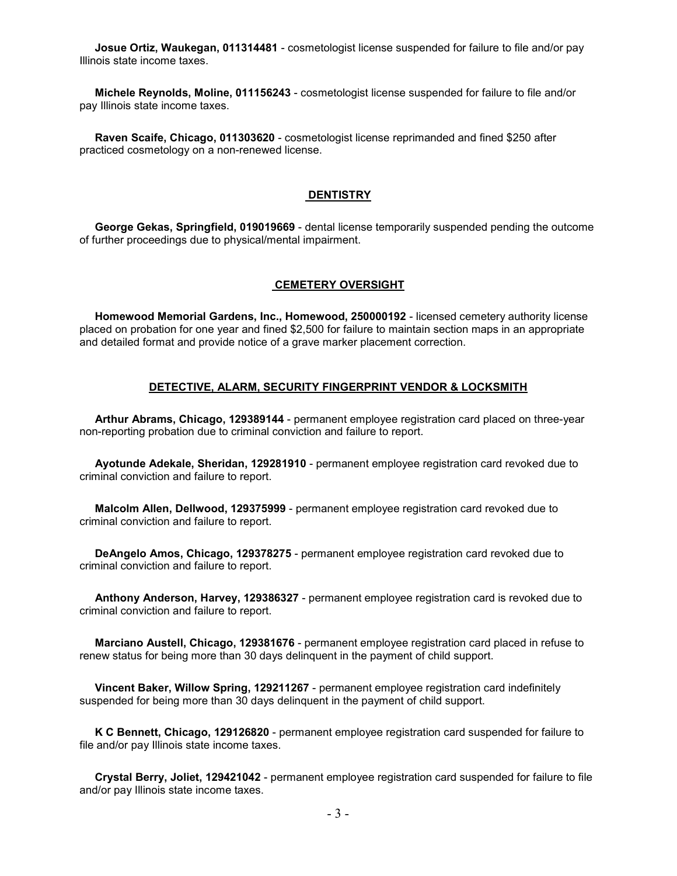**Josue Ortiz, Waukegan, 011314481** - cosmetologist license suspended for failure to file and/or pay Illinois state income taxes.

 **Michele Reynolds, Moline, 011156243** - cosmetologist license suspended for failure to file and/or pay Illinois state income taxes.

 **Raven Scaife, Chicago, 011303620** - cosmetologist license reprimanded and fined \$250 after practiced cosmetology on a non-renewed license.

### **DENTISTRY**

 **George Gekas, Springfield, 019019669** - dental license temporarily suspended pending the outcome of further proceedings due to physical/mental impairment.

#### **CEMETERY OVERSIGHT**

 **Homewood Memorial Gardens, Inc., Homewood, 250000192** - licensed cemetery authority license placed on probation for one year and fined \$2,500 for failure to maintain section maps in an appropriate and detailed format and provide notice of a grave marker placement correction.

#### **DETECTIVE, ALARM, SECURITY FINGERPRINT VENDOR & LOCKSMITH**

 **Arthur Abrams, Chicago, 129389144** - permanent employee registration card placed on three-year non-reporting probation due to criminal conviction and failure to report.

 **Ayotunde Adekale, Sheridan, 129281910** - permanent employee registration card revoked due to criminal conviction and failure to report.

 **Malcolm Allen, Dellwood, 129375999** - permanent employee registration card revoked due to criminal conviction and failure to report.

 **DeAngelo Amos, Chicago, 129378275** - permanent employee registration card revoked due to criminal conviction and failure to report.

 **Anthony Anderson, Harvey, 129386327** - permanent employee registration card is revoked due to criminal conviction and failure to report.

 **Marciano Austell, Chicago, 129381676** - permanent employee registration card placed in refuse to renew status for being more than 30 days delinquent in the payment of child support.

 **Vincent Baker, Willow Spring, 129211267** - permanent employee registration card indefinitely suspended for being more than 30 days delinquent in the payment of child support.

 **K C Bennett, Chicago, 129126820** - permanent employee registration card suspended for failure to file and/or pay Illinois state income taxes.

 **Crystal Berry, Joliet, 129421042** - permanent employee registration card suspended for failure to file and/or pay Illinois state income taxes.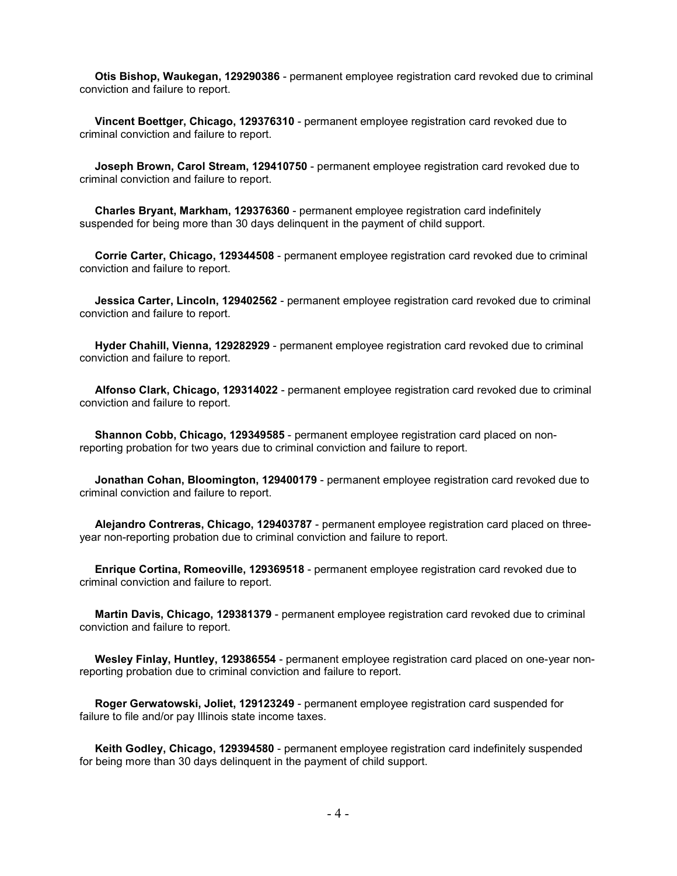**Otis Bishop, Waukegan, 129290386** - permanent employee registration card revoked due to criminal conviction and failure to report.

 **Vincent Boettger, Chicago, 129376310** - permanent employee registration card revoked due to criminal conviction and failure to report.

 **Joseph Brown, Carol Stream, 129410750** - permanent employee registration card revoked due to criminal conviction and failure to report.

 **Charles Bryant, Markham, 129376360** - permanent employee registration card indefinitely suspended for being more than 30 days delinquent in the payment of child support.

 **Corrie Carter, Chicago, 129344508** - permanent employee registration card revoked due to criminal conviction and failure to report.

 **Jessica Carter, Lincoln, 129402562** - permanent employee registration card revoked due to criminal conviction and failure to report.

 **Hyder Chahill, Vienna, 129282929** - permanent employee registration card revoked due to criminal conviction and failure to report.

 **Alfonso Clark, Chicago, 129314022** - permanent employee registration card revoked due to criminal conviction and failure to report.

 **Shannon Cobb, Chicago, 129349585** - permanent employee registration card placed on nonreporting probation for two years due to criminal conviction and failure to report.

 **Jonathan Cohan, Bloomington, 129400179** - permanent employee registration card revoked due to criminal conviction and failure to report.

 **Alejandro Contreras, Chicago, 129403787** - permanent employee registration card placed on threeyear non-reporting probation due to criminal conviction and failure to report.

 **Enrique Cortina, Romeoville, 129369518** - permanent employee registration card revoked due to criminal conviction and failure to report.

 **Martin Davis, Chicago, 129381379** - permanent employee registration card revoked due to criminal conviction and failure to report.

 **Wesley Finlay, Huntley, 129386554** - permanent employee registration card placed on one-year nonreporting probation due to criminal conviction and failure to report.

 **Roger Gerwatowski, Joliet, 129123249** - permanent employee registration card suspended for failure to file and/or pay Illinois state income taxes.

 **Keith Godley, Chicago, 129394580** - permanent employee registration card indefinitely suspended for being more than 30 days delinquent in the payment of child support.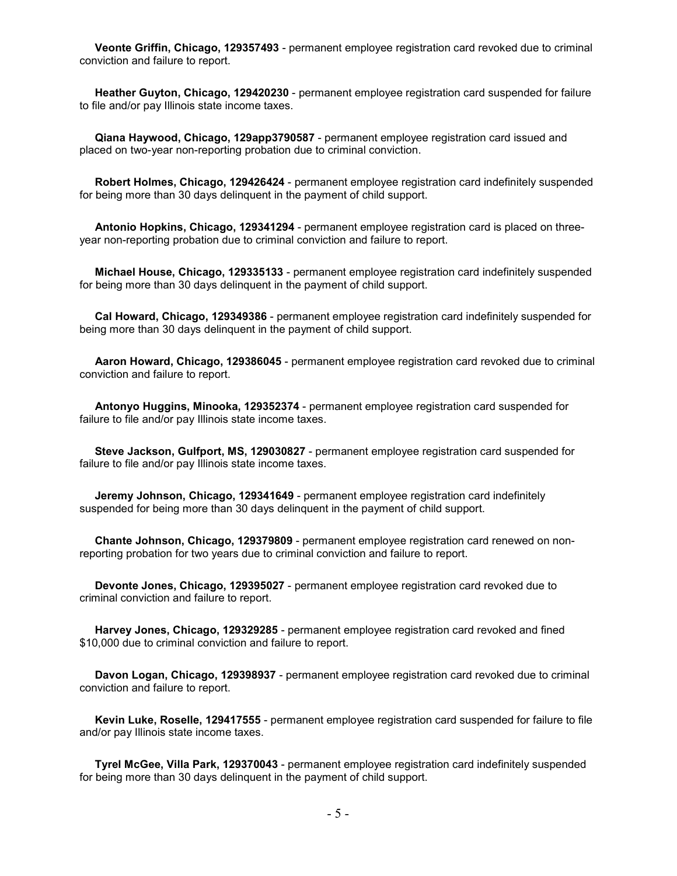**Veonte Griffin, Chicago, 129357493** - permanent employee registration card revoked due to criminal conviction and failure to report.

 **Heather Guyton, Chicago, 129420230** - permanent employee registration card suspended for failure to file and/or pay Illinois state income taxes.

 **Qiana Haywood, Chicago, 129app3790587** - permanent employee registration card issued and placed on two-year non-reporting probation due to criminal conviction.

 **Robert Holmes, Chicago, 129426424** - permanent employee registration card indefinitely suspended for being more than 30 days delinquent in the payment of child support.

 **Antonio Hopkins, Chicago, 129341294** - permanent employee registration card is placed on threeyear non-reporting probation due to criminal conviction and failure to report.

 **Michael House, Chicago, 129335133** - permanent employee registration card indefinitely suspended for being more than 30 days delinquent in the payment of child support.

 **Cal Howard, Chicago, 129349386** - permanent employee registration card indefinitely suspended for being more than 30 days delinquent in the payment of child support.

 **Aaron Howard, Chicago, 129386045** - permanent employee registration card revoked due to criminal conviction and failure to report.

 **Antonyo Huggins, Minooka, 129352374** - permanent employee registration card suspended for failure to file and/or pay Illinois state income taxes.

 **Steve Jackson, Gulfport, MS, 129030827** - permanent employee registration card suspended for failure to file and/or pay Illinois state income taxes.

 **Jeremy Johnson, Chicago, 129341649** - permanent employee registration card indefinitely suspended for being more than 30 days delinquent in the payment of child support.

 **Chante Johnson, Chicago, 129379809** - permanent employee registration card renewed on nonreporting probation for two years due to criminal conviction and failure to report.

 **Devonte Jones, Chicago, 129395027** - permanent employee registration card revoked due to criminal conviction and failure to report.

 **Harvey Jones, Chicago, 129329285** - permanent employee registration card revoked and fined \$10,000 due to criminal conviction and failure to report.

 **Davon Logan, Chicago, 129398937** - permanent employee registration card revoked due to criminal conviction and failure to report.

 **Kevin Luke, Roselle, 129417555** - permanent employee registration card suspended for failure to file and/or pay Illinois state income taxes.

 **Tyrel McGee, Villa Park, 129370043** - permanent employee registration card indefinitely suspended for being more than 30 days delinquent in the payment of child support.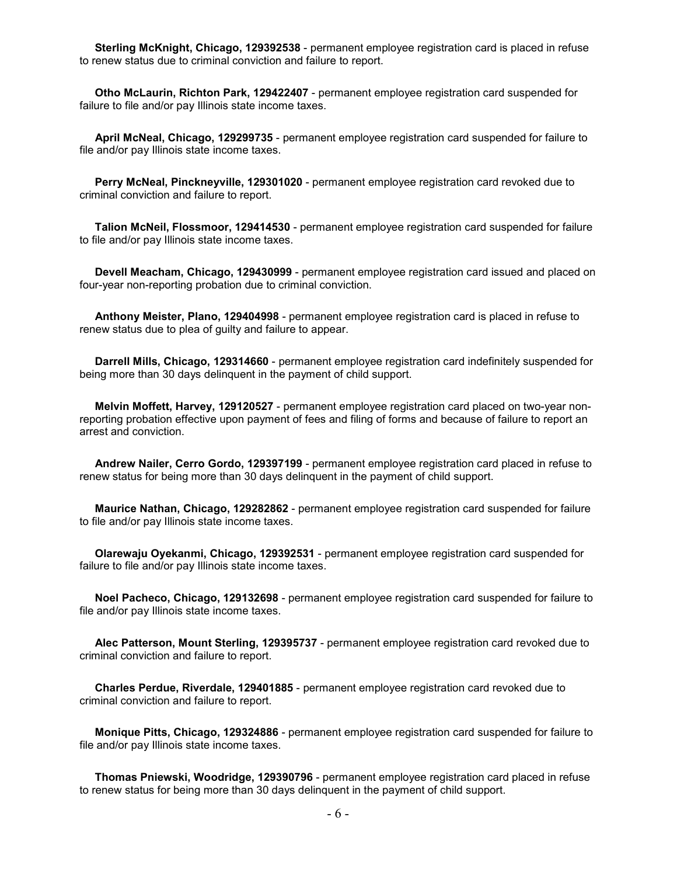**Sterling McKnight, Chicago, 129392538** - permanent employee registration card is placed in refuse to renew status due to criminal conviction and failure to report.

 **Otho McLaurin, Richton Park, 129422407** - permanent employee registration card suspended for failure to file and/or pay Illinois state income taxes.

 **April McNeal, Chicago, 129299735** - permanent employee registration card suspended for failure to file and/or pay Illinois state income taxes.

 **Perry McNeal, Pinckneyville, 129301020** - permanent employee registration card revoked due to criminal conviction and failure to report.

 **Talion McNeil, Flossmoor, 129414530** - permanent employee registration card suspended for failure to file and/or pay Illinois state income taxes.

 **Devell Meacham, Chicago, 129430999** - permanent employee registration card issued and placed on four-year non-reporting probation due to criminal conviction.

 **Anthony Meister, Plano, 129404998** - permanent employee registration card is placed in refuse to renew status due to plea of guilty and failure to appear.

 **Darrell Mills, Chicago, 129314660** - permanent employee registration card indefinitely suspended for being more than 30 days delinquent in the payment of child support.

 **Melvin Moffett, Harvey, 129120527** - permanent employee registration card placed on two-year nonreporting probation effective upon payment of fees and filing of forms and because of failure to report an arrest and conviction.

 **Andrew Nailer, Cerro Gordo, 129397199** - permanent employee registration card placed in refuse to renew status for being more than 30 days delinquent in the payment of child support.

 **Maurice Nathan, Chicago, 129282862** - permanent employee registration card suspended for failure to file and/or pay Illinois state income taxes.

 **Olarewaju Oyekanmi, Chicago, 129392531** - permanent employee registration card suspended for failure to file and/or pay Illinois state income taxes.

 **Noel Pacheco, Chicago, 129132698** - permanent employee registration card suspended for failure to file and/or pay Illinois state income taxes.

 **Alec Patterson, Mount Sterling, 129395737** - permanent employee registration card revoked due to criminal conviction and failure to report.

 **Charles Perdue, Riverdale, 129401885** - permanent employee registration card revoked due to criminal conviction and failure to report.

 **Monique Pitts, Chicago, 129324886** - permanent employee registration card suspended for failure to file and/or pay Illinois state income taxes.

 **Thomas Pniewski, Woodridge, 129390796** - permanent employee registration card placed in refuse to renew status for being more than 30 days delinquent in the payment of child support.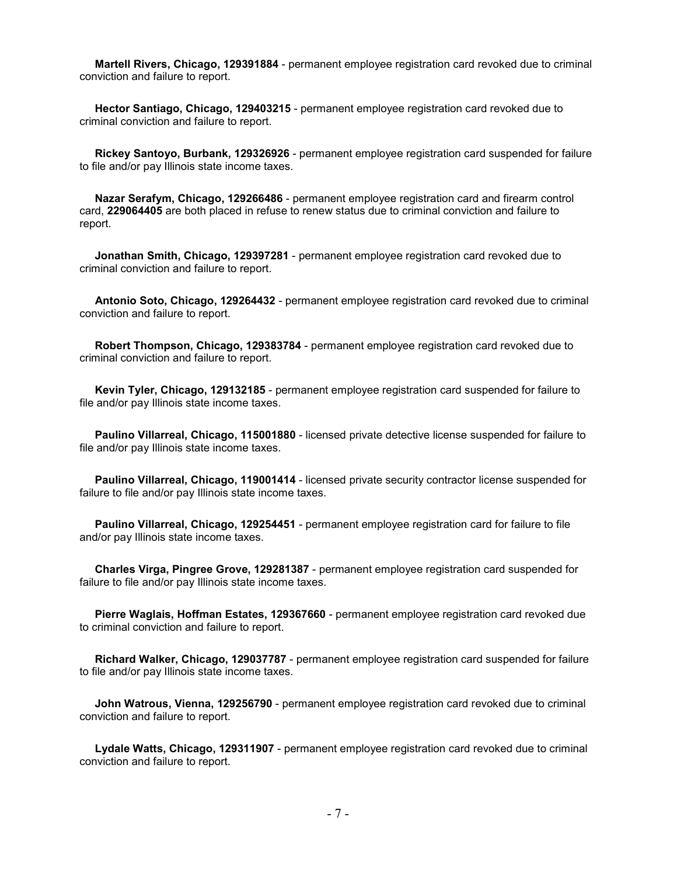**Martell Rivers, Chicago, 129391884** - permanent employee registration card revoked due to criminal conviction and failure to report.

 **Hector Santiago, Chicago, 129403215** - permanent employee registration card revoked due to criminal conviction and failure to report.

 **Rickey Santoyo, Burbank, 129326926** - permanent employee registration card suspended for failure to file and/or pay Illinois state income taxes.

 **Nazar Serafym, Chicago, 129266486** - permanent employee registration card and firearm control card, **229064405** are both placed in refuse to renew status due to criminal conviction and failure to report.

 **Jonathan Smith, Chicago, 129397281** - permanent employee registration card revoked due to criminal conviction and failure to report.

 **Antonio Soto, Chicago, 129264432** - permanent employee registration card revoked due to criminal conviction and failure to report.

 **Robert Thompson, Chicago, 129383784** - permanent employee registration card revoked due to criminal conviction and failure to report.

 **Kevin Tyler, Chicago, 129132185** - permanent employee registration card suspended for failure to file and/or pay Illinois state income taxes.

 **Paulino Villarreal, Chicago, 115001880** - licensed private detective license suspended for failure to file and/or pay Illinois state income taxes.

 **Paulino Villarreal, Chicago, 119001414** - licensed private security contractor license suspended for failure to file and/or pay Illinois state income taxes.

 **Paulino Villarreal, Chicago, 129254451** - permanent employee registration card for failure to file and/or pay Illinois state income taxes.

 **Charles Virga, Pingree Grove, 129281387** - permanent employee registration card suspended for failure to file and/or pay Illinois state income taxes.

 **Pierre Waglais, Hoffman Estates, 129367660** - permanent employee registration card revoked due to criminal conviction and failure to report.

 **Richard Walker, Chicago, 129037787** - permanent employee registration card suspended for failure to file and/or pay Illinois state income taxes.

 **John Watrous, Vienna, 129256790** - permanent employee registration card revoked due to criminal conviction and failure to report.

 **Lydale Watts, Chicago, 129311907** - permanent employee registration card revoked due to criminal conviction and failure to report.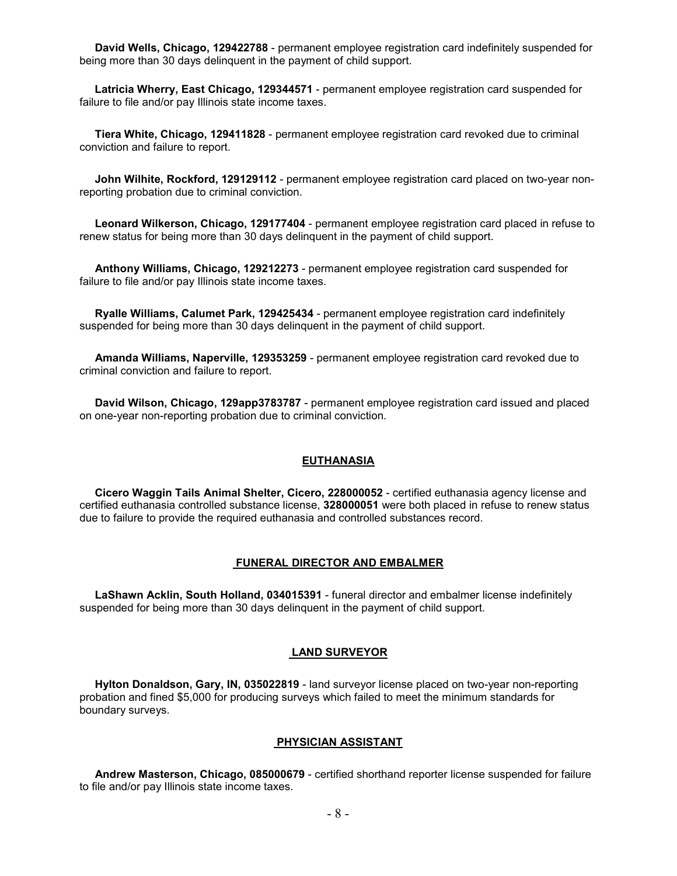**David Wells, Chicago, 129422788** - permanent employee registration card indefinitely suspended for being more than 30 days delinquent in the payment of child support.

 **Latricia Wherry, East Chicago, 129344571** - permanent employee registration card suspended for failure to file and/or pay Illinois state income taxes.

 **Tiera White, Chicago, 129411828** - permanent employee registration card revoked due to criminal conviction and failure to report.

 **John Wilhite, Rockford, 129129112** - permanent employee registration card placed on two-year nonreporting probation due to criminal conviction.

 **Leonard Wilkerson, Chicago, 129177404** - permanent employee registration card placed in refuse to renew status for being more than 30 days delinquent in the payment of child support.

 **Anthony Williams, Chicago, 129212273** - permanent employee registration card suspended for failure to file and/or pay Illinois state income taxes.

 **Ryalle Williams, Calumet Park, 129425434** - permanent employee registration card indefinitely suspended for being more than 30 days delinquent in the payment of child support.

 **Amanda Williams, Naperville, 129353259** - permanent employee registration card revoked due to criminal conviction and failure to report.

 **David Wilson, Chicago, 129app3783787** - permanent employee registration card issued and placed on one-year non-reporting probation due to criminal conviction.

#### **EUTHANASIA**

 **Cicero Waggin Tails Animal Shelter, Cicero, 228000052** - certified euthanasia agency license and certified euthanasia controlled substance license, **328000051** were both placed in refuse to renew status due to failure to provide the required euthanasia and controlled substances record.

#### **FUNERAL DIRECTOR AND EMBALMER**

 **LaShawn Acklin, South Holland, 034015391** - funeral director and embalmer license indefinitely suspended for being more than 30 days delinquent in the payment of child support.

#### **LAND SURVEYOR**

 **Hylton Donaldson, Gary, IN, 035022819** - land surveyor license placed on two-year non-reporting probation and fined \$5,000 for producing surveys which failed to meet the minimum standards for boundary surveys.

#### **PHYSICIAN ASSISTANT**

 **Andrew Masterson, Chicago, 085000679** - certified shorthand reporter license suspended for failure to file and/or pay Illinois state income taxes.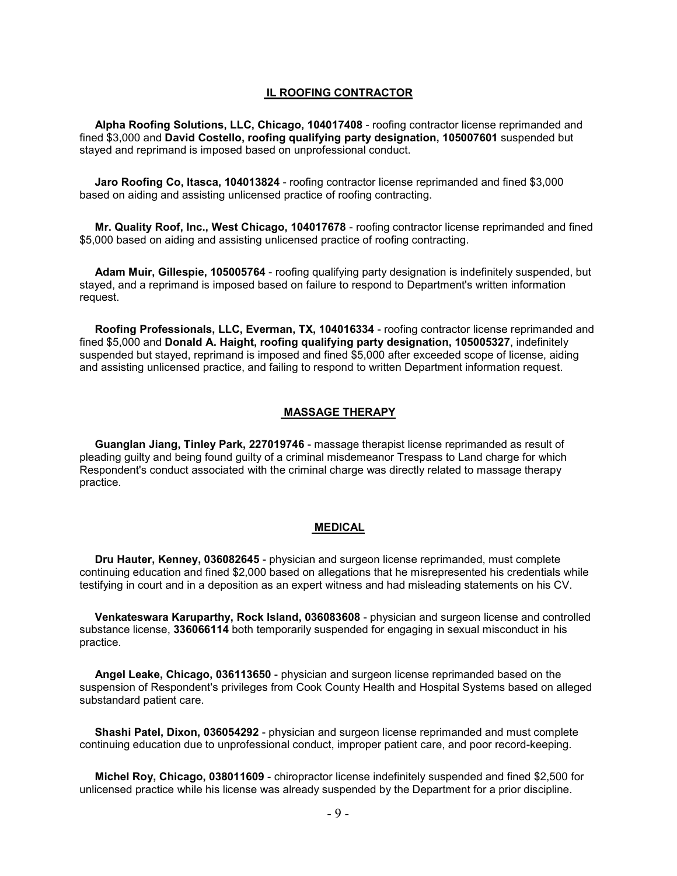#### **IL ROOFING CONTRACTOR**

 **Alpha Roofing Solutions, LLC, Chicago, 104017408** - roofing contractor license reprimanded and fined \$3,000 and **David Costello, roofing qualifying party designation, 105007601** suspended but stayed and reprimand is imposed based on unprofessional conduct.

 **Jaro Roofing Co, Itasca, 104013824** - roofing contractor license reprimanded and fined \$3,000 based on aiding and assisting unlicensed practice of roofing contracting.

 **Mr. Quality Roof, Inc., West Chicago, 104017678** - roofing contractor license reprimanded and fined \$5,000 based on aiding and assisting unlicensed practice of roofing contracting.

 **Adam Muir, Gillespie, 105005764** - roofing qualifying party designation is indefinitely suspended, but stayed, and a reprimand is imposed based on failure to respond to Department's written information request.

 **Roofing Professionals, LLC, Everman, TX, 104016334** - roofing contractor license reprimanded and fined \$5,000 and **Donald A. Haight, roofing qualifying party designation, 105005327**, indefinitely suspended but stayed, reprimand is imposed and fined \$5,000 after exceeded scope of license, aiding and assisting unlicensed practice, and failing to respond to written Department information request.

#### **MASSAGE THERAPY**

 **Guanglan Jiang, Tinley Park, 227019746** - massage therapist license reprimanded as result of pleading guilty and being found guilty of a criminal misdemeanor Trespass to Land charge for which Respondent's conduct associated with the criminal charge was directly related to massage therapy practice.

#### **MEDICAL**

 **Dru Hauter, Kenney, 036082645** - physician and surgeon license reprimanded, must complete continuing education and fined \$2,000 based on allegations that he misrepresented his credentials while testifying in court and in a deposition as an expert witness and had misleading statements on his CV.

 **Venkateswara Karuparthy, Rock Island, 036083608** - physician and surgeon license and controlled substance license, **336066114** both temporarily suspended for engaging in sexual misconduct in his practice.

 **Angel Leake, Chicago, 036113650** - physician and surgeon license reprimanded based on the suspension of Respondent's privileges from Cook County Health and Hospital Systems based on alleged substandard patient care.

 **Shashi Patel, Dixon, 036054292** - physician and surgeon license reprimanded and must complete continuing education due to unprofessional conduct, improper patient care, and poor record-keeping.

 **Michel Roy, Chicago, 038011609** - chiropractor license indefinitely suspended and fined \$2,500 for unlicensed practice while his license was already suspended by the Department for a prior discipline.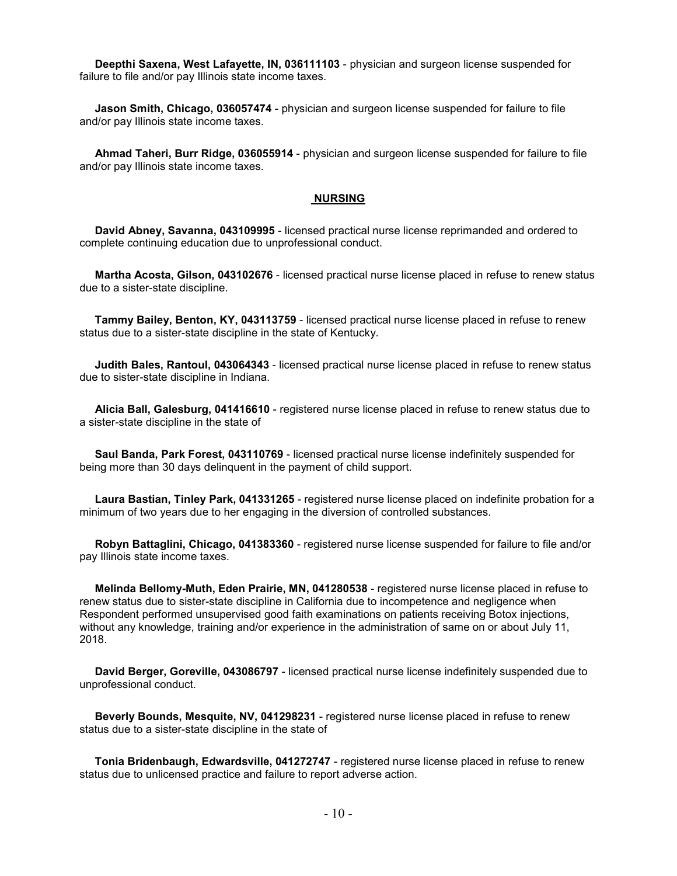**Deepthi Saxena, West Lafayette, IN, 036111103** - physician and surgeon license suspended for failure to file and/or pay Illinois state income taxes.

 **Jason Smith, Chicago, 036057474** - physician and surgeon license suspended for failure to file and/or pay Illinois state income taxes.

 **Ahmad Taheri, Burr Ridge, 036055914** - physician and surgeon license suspended for failure to file and/or pay Illinois state income taxes.

#### **NURSING**

 **David Abney, Savanna, 043109995** - licensed practical nurse license reprimanded and ordered to complete continuing education due to unprofessional conduct.

 **Martha Acosta, Gilson, 043102676** - licensed practical nurse license placed in refuse to renew status due to a sister-state discipline.

 **Tammy Bailey, Benton, KY, 043113759** - licensed practical nurse license placed in refuse to renew status due to a sister-state discipline in the state of Kentucky.

 **Judith Bales, Rantoul, 043064343** - licensed practical nurse license placed in refuse to renew status due to sister-state discipline in Indiana.

 **Alicia Ball, Galesburg, 041416610** - registered nurse license placed in refuse to renew status due to a sister-state discipline in the state of

 **Saul Banda, Park Forest, 043110769** - licensed practical nurse license indefinitely suspended for being more than 30 days delinquent in the payment of child support.

 **Laura Bastian, Tinley Park, 041331265** - registered nurse license placed on indefinite probation for a minimum of two years due to her engaging in the diversion of controlled substances.

 **Robyn Battaglini, Chicago, 041383360** - registered nurse license suspended for failure to file and/or pay Illinois state income taxes.

 **Melinda Bellomy-Muth, Eden Prairie, MN, 041280538** - registered nurse license placed in refuse to renew status due to sister-state discipline in California due to incompetence and negligence when Respondent performed unsupervised good faith examinations on patients receiving Botox injections, without any knowledge, training and/or experience in the administration of same on or about July 11, 2018.

 **David Berger, Goreville, 043086797** - licensed practical nurse license indefinitely suspended due to unprofessional conduct.

 **Beverly Bounds, Mesquite, NV, 041298231** - registered nurse license placed in refuse to renew status due to a sister-state discipline in the state of

 **Tonia Bridenbaugh, Edwardsville, 041272747** - registered nurse license placed in refuse to renew status due to unlicensed practice and failure to report adverse action.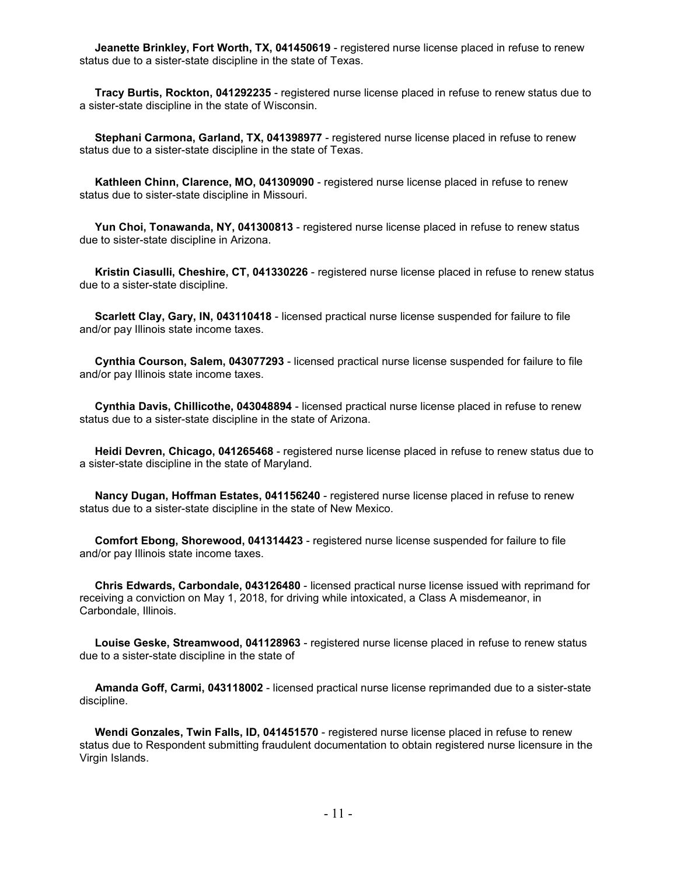**Jeanette Brinkley, Fort Worth, TX, 041450619** - registered nurse license placed in refuse to renew status due to a sister-state discipline in the state of Texas.

 **Tracy Burtis, Rockton, 041292235** - registered nurse license placed in refuse to renew status due to a sister-state discipline in the state of Wisconsin.

 **Stephani Carmona, Garland, TX, 041398977** - registered nurse license placed in refuse to renew status due to a sister-state discipline in the state of Texas.

 **Kathleen Chinn, Clarence, MO, 041309090** - registered nurse license placed in refuse to renew status due to sister-state discipline in Missouri.

 **Yun Choi, Tonawanda, NY, 041300813** - registered nurse license placed in refuse to renew status due to sister-state discipline in Arizona.

 **Kristin Ciasulli, Cheshire, CT, 041330226** - registered nurse license placed in refuse to renew status due to a sister-state discipline.

 **Scarlett Clay, Gary, IN, 043110418** - licensed practical nurse license suspended for failure to file and/or pay Illinois state income taxes.

 **Cynthia Courson, Salem, 043077293** - licensed practical nurse license suspended for failure to file and/or pay Illinois state income taxes.

 **Cynthia Davis, Chillicothe, 043048894** - licensed practical nurse license placed in refuse to renew status due to a sister-state discipline in the state of Arizona.

 **Heidi Devren, Chicago, 041265468** - registered nurse license placed in refuse to renew status due to a sister-state discipline in the state of Maryland.

 **Nancy Dugan, Hoffman Estates, 041156240** - registered nurse license placed in refuse to renew status due to a sister-state discipline in the state of New Mexico.

 **Comfort Ebong, Shorewood, 041314423** - registered nurse license suspended for failure to file and/or pay Illinois state income taxes.

 **Chris Edwards, Carbondale, 043126480** - licensed practical nurse license issued with reprimand for receiving a conviction on May 1, 2018, for driving while intoxicated, a Class A misdemeanor, in Carbondale, Illinois.

 **Louise Geske, Streamwood, 041128963** - registered nurse license placed in refuse to renew status due to a sister-state discipline in the state of

 **Amanda Goff, Carmi, 043118002** - licensed practical nurse license reprimanded due to a sister-state discipline.

 **Wendi Gonzales, Twin Falls, ID, 041451570** - registered nurse license placed in refuse to renew status due to Respondent submitting fraudulent documentation to obtain registered nurse licensure in the Virgin Islands.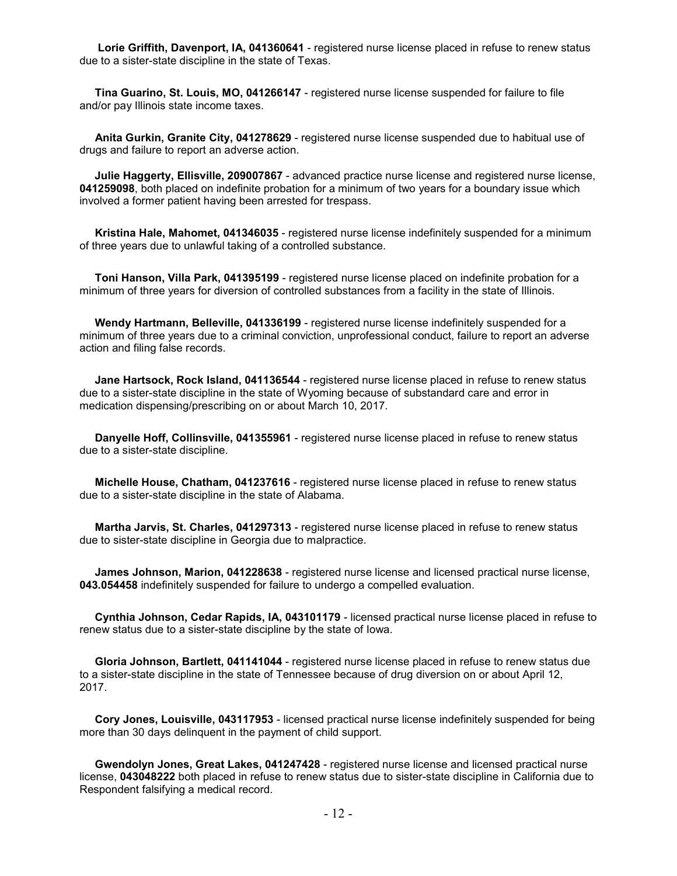**Lorie Griffith, Davenport, IA, 041360641** - registered nurse license placed in refuse to renew status due to a sister-state discipline in the state of Texas.

 **Tina Guarino, St. Louis, MO, 041266147** - registered nurse license suspended for failure to file and/or pay Illinois state income taxes.

 **Anita Gurkin, Granite City, 041278629** - registered nurse license suspended due to habitual use of drugs and failure to report an adverse action.

 **Julie Haggerty, Ellisville, 209007867** - advanced practice nurse license and registered nurse license, **041259098**, both placed on indefinite probation for a minimum of two years for a boundary issue which involved a former patient having been arrested for trespass.

 **Kristina Hale, Mahomet, 041346035** - registered nurse license indefinitely suspended for a minimum of three years due to unlawful taking of a controlled substance.

 **Toni Hanson, Villa Park, 041395199** - registered nurse license placed on indefinite probation for a minimum of three years for diversion of controlled substances from a facility in the state of Illinois.

 **Wendy Hartmann, Belleville, 041336199** - registered nurse license indefinitely suspended for a minimum of three years due to a criminal conviction, unprofessional conduct, failure to report an adverse action and filing false records.

 **Jane Hartsock, Rock Island, 041136544** - registered nurse license placed in refuse to renew status due to a sister-state discipline in the state of Wyoming because of substandard care and error in medication dispensing/prescribing on or about March 10, 2017.

 **Danyelle Hoff, Collinsville, 041355961** - registered nurse license placed in refuse to renew status due to a sister-state discipline.

 **Michelle House, Chatham, 041237616** - registered nurse license placed in refuse to renew status due to a sister-state discipline in the state of Alabama.

 **Martha Jarvis, St. Charles, 041297313** - registered nurse license placed in refuse to renew status due to sister-state discipline in Georgia due to malpractice.

 **James Johnson, Marion, 041228638** - registered nurse license and licensed practical nurse license, **043.054458** indefinitely suspended for failure to undergo a compelled evaluation.

 **Cynthia Johnson, Cedar Rapids, IA, 043101179** - licensed practical nurse license placed in refuse to renew status due to a sister-state discipline by the state of Iowa.

 **Gloria Johnson, Bartlett, 041141044** - registered nurse license placed in refuse to renew status due to a sister-state discipline in the state of Tennessee because of drug diversion on or about April 12, 2017.

 **Cory Jones, Louisville, 043117953** - licensed practical nurse license indefinitely suspended for being more than 30 days delinquent in the payment of child support.

 **Gwendolyn Jones, Great Lakes, 041247428** - registered nurse license and licensed practical nurse license, **043048222** both placed in refuse to renew status due to sister-state discipline in California due to Respondent falsifying a medical record.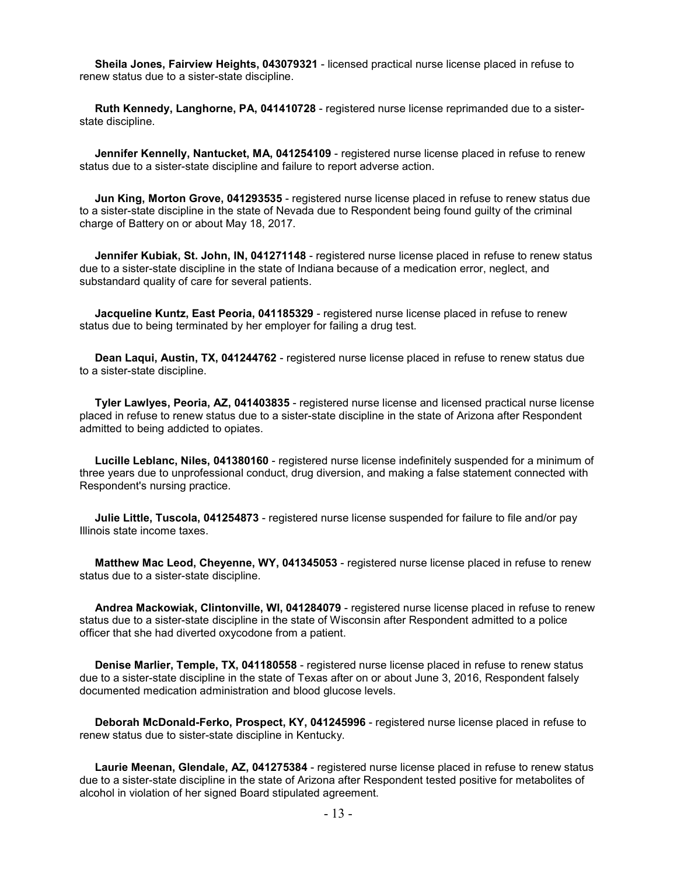**Sheila Jones, Fairview Heights, 043079321** - licensed practical nurse license placed in refuse to renew status due to a sister-state discipline.

 **Ruth Kennedy, Langhorne, PA, 041410728** - registered nurse license reprimanded due to a sisterstate discipline.

 **Jennifer Kennelly, Nantucket, MA, 041254109** - registered nurse license placed in refuse to renew status due to a sister-state discipline and failure to report adverse action.

 **Jun King, Morton Grove, 041293535** - registered nurse license placed in refuse to renew status due to a sister-state discipline in the state of Nevada due to Respondent being found guilty of the criminal charge of Battery on or about May 18, 2017.

 **Jennifer Kubiak, St. John, IN, 041271148** - registered nurse license placed in refuse to renew status due to a sister-state discipline in the state of Indiana because of a medication error, neglect, and substandard quality of care for several patients.

 **Jacqueline Kuntz, East Peoria, 041185329** - registered nurse license placed in refuse to renew status due to being terminated by her employer for failing a drug test.

 **Dean Laqui, Austin, TX, 041244762** - registered nurse license placed in refuse to renew status due to a sister-state discipline.

 **Tyler Lawlyes, Peoria, AZ, 041403835** - registered nurse license and licensed practical nurse license placed in refuse to renew status due to a sister-state discipline in the state of Arizona after Respondent admitted to being addicted to opiates.

 **Lucille Leblanc, Niles, 041380160** - registered nurse license indefinitely suspended for a minimum of three years due to unprofessional conduct, drug diversion, and making a false statement connected with Respondent's nursing practice.

 **Julie Little, Tuscola, 041254873** - registered nurse license suspended for failure to file and/or pay Illinois state income taxes.

 **Matthew Mac Leod, Cheyenne, WY, 041345053** - registered nurse license placed in refuse to renew status due to a sister-state discipline.

 **Andrea Mackowiak, Clintonville, WI, 041284079** - registered nurse license placed in refuse to renew status due to a sister-state discipline in the state of Wisconsin after Respondent admitted to a police officer that she had diverted oxycodone from a patient.

 **Denise Marlier, Temple, TX, 041180558** - registered nurse license placed in refuse to renew status due to a sister-state discipline in the state of Texas after on or about June 3, 2016, Respondent falsely documented medication administration and blood glucose levels.

 **Deborah McDonald-Ferko, Prospect, KY, 041245996** - registered nurse license placed in refuse to renew status due to sister-state discipline in Kentucky.

 **Laurie Meenan, Glendale, AZ, 041275384** - registered nurse license placed in refuse to renew status due to a sister-state discipline in the state of Arizona after Respondent tested positive for metabolites of alcohol in violation of her signed Board stipulated agreement.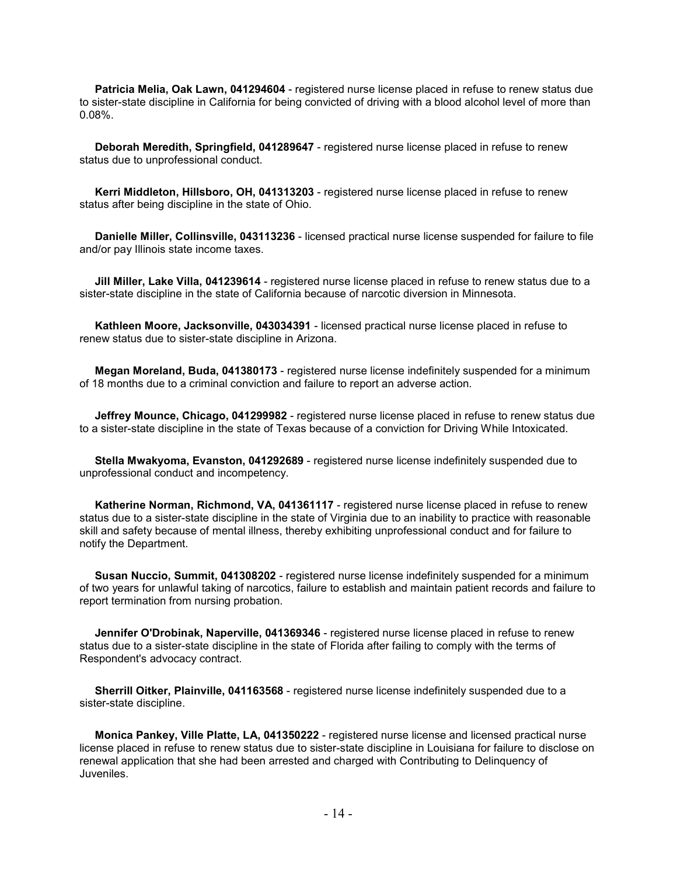**Patricia Melia, Oak Lawn, 041294604** - registered nurse license placed in refuse to renew status due to sister-state discipline in California for being convicted of driving with a blood alcohol level of more than 0.08%.

 **Deborah Meredith, Springfield, 041289647** - registered nurse license placed in refuse to renew status due to unprofessional conduct.

 **Kerri Middleton, Hillsboro, OH, 041313203** - registered nurse license placed in refuse to renew status after being discipline in the state of Ohio.

 **Danielle Miller, Collinsville, 043113236** - licensed practical nurse license suspended for failure to file and/or pay Illinois state income taxes.

 **Jill Miller, Lake Villa, 041239614** - registered nurse license placed in refuse to renew status due to a sister-state discipline in the state of California because of narcotic diversion in Minnesota.

 **Kathleen Moore, Jacksonville, 043034391** - licensed practical nurse license placed in refuse to renew status due to sister-state discipline in Arizona.

 **Megan Moreland, Buda, 041380173** - registered nurse license indefinitely suspended for a minimum of 18 months due to a criminal conviction and failure to report an adverse action.

 **Jeffrey Mounce, Chicago, 041299982** - registered nurse license placed in refuse to renew status due to a sister-state discipline in the state of Texas because of a conviction for Driving While Intoxicated.

 **Stella Mwakyoma, Evanston, 041292689** - registered nurse license indefinitely suspended due to unprofessional conduct and incompetency.

 **Katherine Norman, Richmond, VA, 041361117** - registered nurse license placed in refuse to renew status due to a sister-state discipline in the state of Virginia due to an inability to practice with reasonable skill and safety because of mental illness, thereby exhibiting unprofessional conduct and for failure to notify the Department.

 **Susan Nuccio, Summit, 041308202** - registered nurse license indefinitely suspended for a minimum of two years for unlawful taking of narcotics, failure to establish and maintain patient records and failure to report termination from nursing probation.

 **Jennifer O'Drobinak, Naperville, 041369346** - registered nurse license placed in refuse to renew status due to a sister-state discipline in the state of Florida after failing to comply with the terms of Respondent's advocacy contract.

 **Sherrill Oitker, Plainville, 041163568** - registered nurse license indefinitely suspended due to a sister-state discipline.

**Monica Pankey, Ville Platte, LA, 041350222** - registered nurse license and licensed practical nurse license placed in refuse to renew status due to sister-state discipline in Louisiana for failure to disclose on renewal application that she had been arrested and charged with Contributing to Delinquency of Juveniles.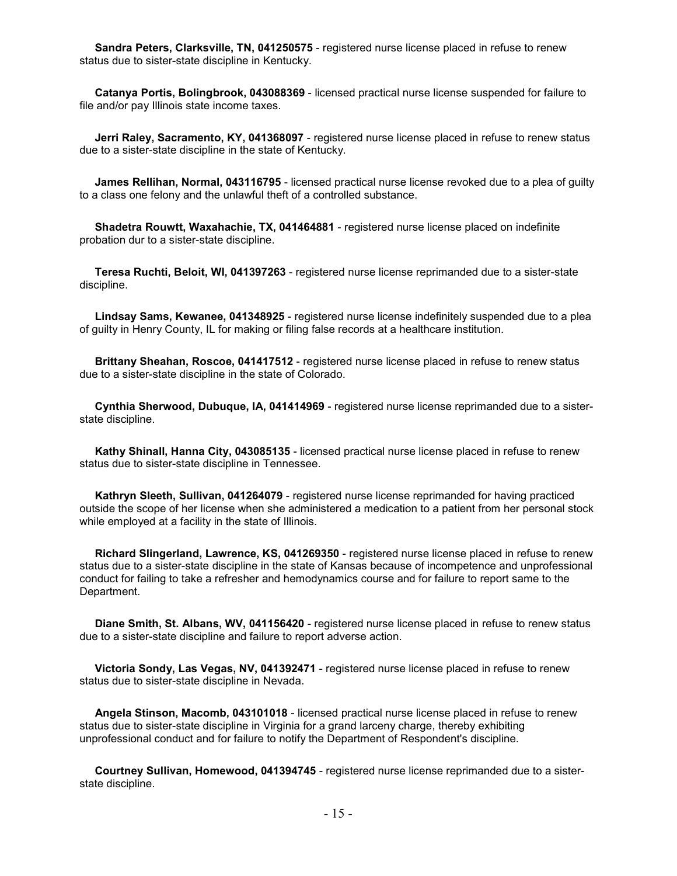**Sandra Peters, Clarksville, TN, 041250575** - registered nurse license placed in refuse to renew status due to sister-state discipline in Kentucky.

 **Catanya Portis, Bolingbrook, 043088369** - licensed practical nurse license suspended for failure to file and/or pay Illinois state income taxes.

 **Jerri Raley, Sacramento, KY, 041368097** - registered nurse license placed in refuse to renew status due to a sister-state discipline in the state of Kentucky.

 **James Rellihan, Normal, 043116795** - licensed practical nurse license revoked due to a plea of guilty to a class one felony and the unlawful theft of a controlled substance.

 **Shadetra Rouwtt, Waxahachie, TX, 041464881** - registered nurse license placed on indefinite probation dur to a sister-state discipline.

 **Teresa Ruchti, Beloit, WI, 041397263** - registered nurse license reprimanded due to a sister-state discipline.

 **Lindsay Sams, Kewanee, 041348925** - registered nurse license indefinitely suspended due to a plea of guilty in Henry County, IL for making or filing false records at a healthcare institution.

 **Brittany Sheahan, Roscoe, 041417512** - registered nurse license placed in refuse to renew status due to a sister-state discipline in the state of Colorado.

 **Cynthia Sherwood, Dubuque, IA, 041414969** - registered nurse license reprimanded due to a sisterstate discipline.

 **Kathy Shinall, Hanna City, 043085135** - licensed practical nurse license placed in refuse to renew status due to sister-state discipline in Tennessee.

 **Kathryn Sleeth, Sullivan, 041264079** - registered nurse license reprimanded for having practiced outside the scope of her license when she administered a medication to a patient from her personal stock while employed at a facility in the state of Illinois.

 **Richard Slingerland, Lawrence, KS, 041269350** - registered nurse license placed in refuse to renew status due to a sister-state discipline in the state of Kansas because of incompetence and unprofessional conduct for failing to take a refresher and hemodynamics course and for failure to report same to the Department.

 **Diane Smith, St. Albans, WV, 041156420** - registered nurse license placed in refuse to renew status due to a sister-state discipline and failure to report adverse action.

 **Victoria Sondy, Las Vegas, NV, 041392471** - registered nurse license placed in refuse to renew status due to sister-state discipline in Nevada.

 **Angela Stinson, Macomb, 043101018** - licensed practical nurse license placed in refuse to renew status due to sister-state discipline in Virginia for a grand larceny charge, thereby exhibiting unprofessional conduct and for failure to notify the Department of Respondent's discipline.

 **Courtney Sullivan, Homewood, 041394745** - registered nurse license reprimanded due to a sisterstate discipline.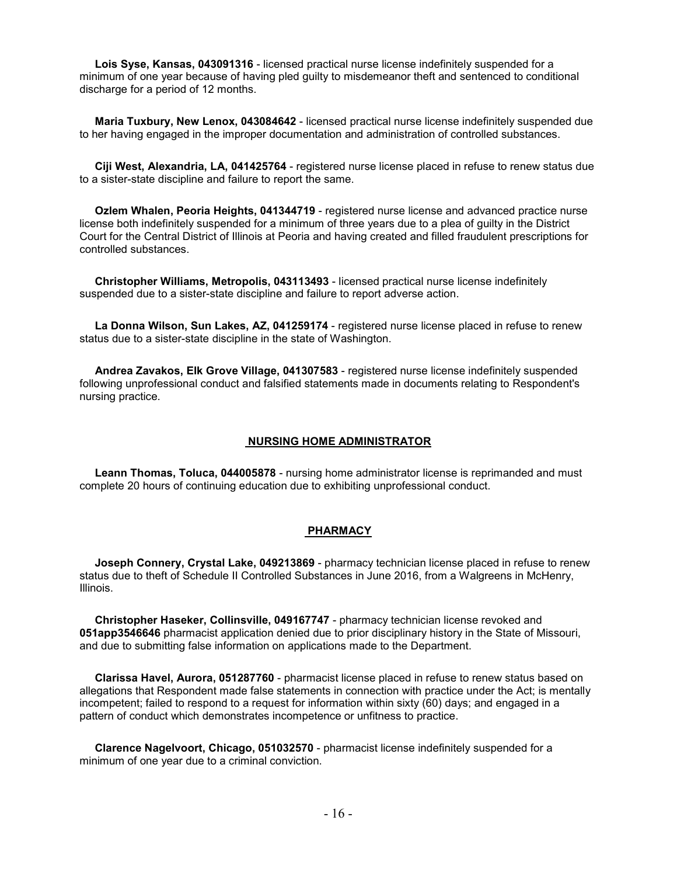**Lois Syse, Kansas, 043091316** - licensed practical nurse license indefinitely suspended for a minimum of one year because of having pled guilty to misdemeanor theft and sentenced to conditional discharge for a period of 12 months.

 **Maria Tuxbury, New Lenox, 043084642** - licensed practical nurse license indefinitely suspended due to her having engaged in the improper documentation and administration of controlled substances.

 **Ciji West, Alexandria, LA, 041425764** - registered nurse license placed in refuse to renew status due to a sister-state discipline and failure to report the same.

 **Ozlem Whalen, Peoria Heights, 041344719** - registered nurse license and advanced practice nurse license both indefinitely suspended for a minimum of three years due to a plea of guilty in the District Court for the Central District of Illinois at Peoria and having created and filled fraudulent prescriptions for controlled substances.

 **Christopher Williams, Metropolis, 043113493** - licensed practical nurse license indefinitely suspended due to a sister-state discipline and failure to report adverse action.

 **La Donna Wilson, Sun Lakes, AZ, 041259174** - registered nurse license placed in refuse to renew status due to a sister-state discipline in the state of Washington.

 **Andrea Zavakos, Elk Grove Village, 041307583** - registered nurse license indefinitely suspended following unprofessional conduct and falsified statements made in documents relating to Respondent's nursing practice.

#### **NURSING HOME ADMINISTRATOR**

 **Leann Thomas, Toluca, 044005878** - nursing home administrator license is reprimanded and must complete 20 hours of continuing education due to exhibiting unprofessional conduct.

#### **PHARMACY**

 **Joseph Connery, Crystal Lake, 049213869** - pharmacy technician license placed in refuse to renew status due to theft of Schedule II Controlled Substances in June 2016, from a Walgreens in McHenry, Illinois.

 **Christopher Haseker, Collinsville, 049167747** - pharmacy technician license revoked and **051app3546646** pharmacist application denied due to prior disciplinary history in the State of Missouri, and due to submitting false information on applications made to the Department.

 **Clarissa Havel, Aurora, 051287760** - pharmacist license placed in refuse to renew status based on allegations that Respondent made false statements in connection with practice under the Act; is mentally incompetent; failed to respond to a request for information within sixty (60) days; and engaged in a pattern of conduct which demonstrates incompetence or unfitness to practice.

 **Clarence Nagelvoort, Chicago, 051032570** - pharmacist license indefinitely suspended for a minimum of one year due to a criminal conviction.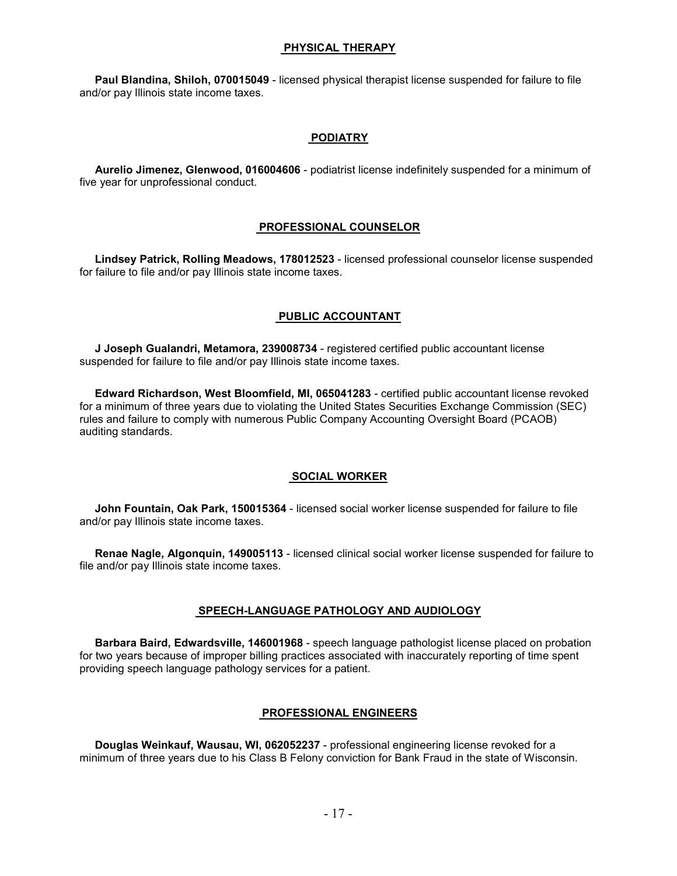#### **PHYSICAL THERAPY**

 **Paul Blandina, Shiloh, 070015049** - licensed physical therapist license suspended for failure to file and/or pay Illinois state income taxes.

#### **PODIATRY**

 **Aurelio Jimenez, Glenwood, 016004606** - podiatrist license indefinitely suspended for a minimum of five year for unprofessional conduct.

#### **PROFESSIONAL COUNSELOR**

 **Lindsey Patrick, Rolling Meadows, 178012523** - licensed professional counselor license suspended for failure to file and/or pay Illinois state income taxes.

### **PUBLIC ACCOUNTANT**

 **J Joseph Gualandri, Metamora, 239008734** - registered certified public accountant license suspended for failure to file and/or pay Illinois state income taxes.

 **Edward Richardson, West Bloomfield, MI, 065041283** - certified public accountant license revoked for a minimum of three years due to violating the United States Securities Exchange Commission (SEC) rules and failure to comply with numerous Public Company Accounting Oversight Board (PCAOB) auditing standards.

#### **SOCIAL WORKER**

 **John Fountain, Oak Park, 150015364** - licensed social worker license suspended for failure to file and/or pay Illinois state income taxes.

 **Renae Nagle, Algonquin, 149005113** - licensed clinical social worker license suspended for failure to file and/or pay Illinois state income taxes.

#### **SPEECH-LANGUAGE PATHOLOGY AND AUDIOLOGY**

 **Barbara Baird, Edwardsville, 146001968** - speech language pathologist license placed on probation for two years because of improper billing practices associated with inaccurately reporting of time spent providing speech language pathology services for a patient.

#### **PROFESSIONAL ENGINEERS**

 **Douglas Weinkauf, Wausau, WI, 062052237** - professional engineering license revoked for a minimum of three years due to his Class B Felony conviction for Bank Fraud in the state of Wisconsin.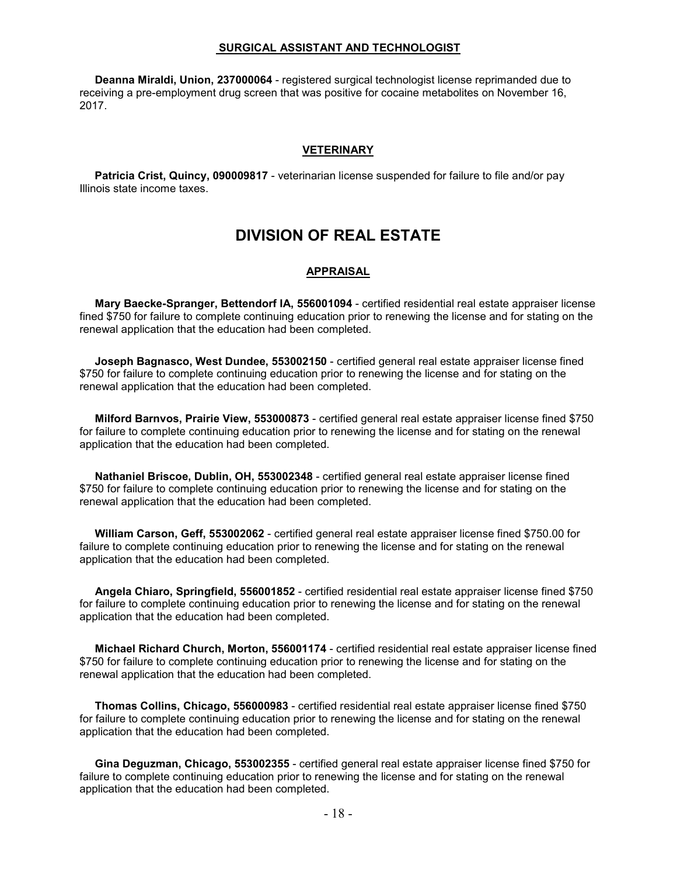#### **SURGICAL ASSISTANT AND TECHNOLOGIST**

 **Deanna Miraldi, Union, 237000064** - registered surgical technologist license reprimanded due to receiving a pre-employment drug screen that was positive for cocaine metabolites on November 16, 2017.

#### **VETERINARY**

 **Patricia Crist, Quincy, 090009817** - veterinarian license suspended for failure to file and/or pay Illinois state income taxes.

## **DIVISION OF REAL ESTATE**

#### **APPRAISAL**

 **Mary Baecke-Spranger, Bettendorf IA, 556001094** - certified residential real estate appraiser license fined \$750 for failure to complete continuing education prior to renewing the license and for stating on the renewal application that the education had been completed.

 **Joseph Bagnasco, West Dundee, 553002150** - certified general real estate appraiser license fined \$750 for failure to complete continuing education prior to renewing the license and for stating on the renewal application that the education had been completed.

 **Milford Barnvos, Prairie View, 553000873** - certified general real estate appraiser license fined \$750 for failure to complete continuing education prior to renewing the license and for stating on the renewal application that the education had been completed.

 **Nathaniel Briscoe, Dublin, OH, 553002348** - certified general real estate appraiser license fined \$750 for failure to complete continuing education prior to renewing the license and for stating on the renewal application that the education had been completed.

 **William Carson, Geff, 553002062** - certified general real estate appraiser license fined \$750.00 for failure to complete continuing education prior to renewing the license and for stating on the renewal application that the education had been completed.

 **Angela Chiaro, Springfield, 556001852** - certified residential real estate appraiser license fined \$750 for failure to complete continuing education prior to renewing the license and for stating on the renewal application that the education had been completed.

 **Michael Richard Church, Morton, 556001174** - certified residential real estate appraiser license fined \$750 for failure to complete continuing education prior to renewing the license and for stating on the renewal application that the education had been completed.

 **Thomas Collins, Chicago, 556000983** - certified residential real estate appraiser license fined \$750 for failure to complete continuing education prior to renewing the license and for stating on the renewal application that the education had been completed.

 **Gina Deguzman, Chicago, 553002355** - certified general real estate appraiser license fined \$750 for failure to complete continuing education prior to renewing the license and for stating on the renewal application that the education had been completed.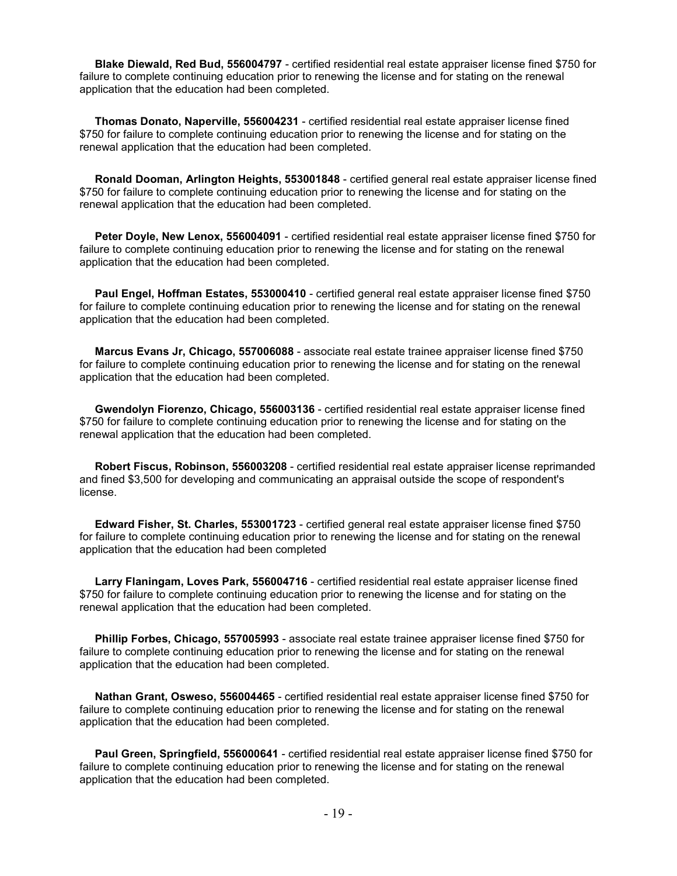**Blake Diewald, Red Bud, 556004797** - certified residential real estate appraiser license fined \$750 for failure to complete continuing education prior to renewing the license and for stating on the renewal application that the education had been completed.

 **Thomas Donato, Naperville, 556004231** - certified residential real estate appraiser license fined \$750 for failure to complete continuing education prior to renewing the license and for stating on the renewal application that the education had been completed.

 **Ronald Dooman, Arlington Heights, 553001848** - certified general real estate appraiser license fined \$750 for failure to complete continuing education prior to renewing the license and for stating on the renewal application that the education had been completed.

 **Peter Doyle, New Lenox, 556004091** - certified residential real estate appraiser license fined \$750 for failure to complete continuing education prior to renewing the license and for stating on the renewal application that the education had been completed.

 **Paul Engel, Hoffman Estates, 553000410** - certified general real estate appraiser license fined \$750 for failure to complete continuing education prior to renewing the license and for stating on the renewal application that the education had been completed.

 **Marcus Evans Jr, Chicago, 557006088** - associate real estate trainee appraiser license fined \$750 for failure to complete continuing education prior to renewing the license and for stating on the renewal application that the education had been completed.

 **Gwendolyn Fiorenzo, Chicago, 556003136** - certified residential real estate appraiser license fined \$750 for failure to complete continuing education prior to renewing the license and for stating on the renewal application that the education had been completed.

 **Robert Fiscus, Robinson, 556003208** - certified residential real estate appraiser license reprimanded and fined \$3,500 for developing and communicating an appraisal outside the scope of respondent's license.

 **Edward Fisher, St. Charles, 553001723** - certified general real estate appraiser license fined \$750 for failure to complete continuing education prior to renewing the license and for stating on the renewal application that the education had been completed

 **Larry Flaningam, Loves Park, 556004716** - certified residential real estate appraiser license fined \$750 for failure to complete continuing education prior to renewing the license and for stating on the renewal application that the education had been completed.

 **Phillip Forbes, Chicago, 557005993** - associate real estate trainee appraiser license fined \$750 for failure to complete continuing education prior to renewing the license and for stating on the renewal application that the education had been completed.

 **Nathan Grant, Osweso, 556004465** - certified residential real estate appraiser license fined \$750 for failure to complete continuing education prior to renewing the license and for stating on the renewal application that the education had been completed.

 **Paul Green, Springfield, 556000641** - certified residential real estate appraiser license fined \$750 for failure to complete continuing education prior to renewing the license and for stating on the renewal application that the education had been completed.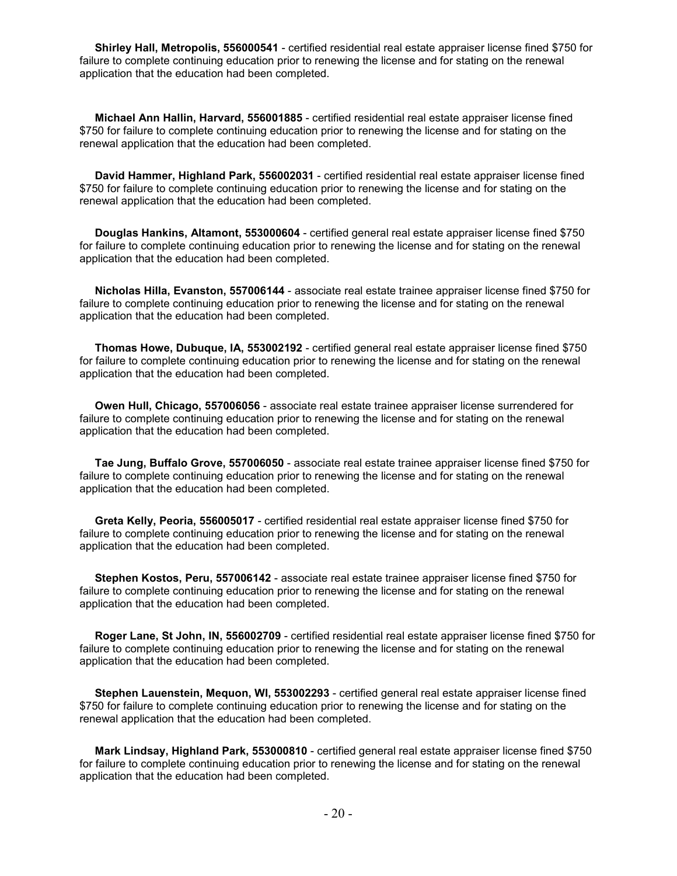**Shirley Hall, Metropolis, 556000541** - certified residential real estate appraiser license fined \$750 for failure to complete continuing education prior to renewing the license and for stating on the renewal application that the education had been completed.

 **Michael Ann Hallin, Harvard, 556001885** - certified residential real estate appraiser license fined \$750 for failure to complete continuing education prior to renewing the license and for stating on the renewal application that the education had been completed.

 **David Hammer, Highland Park, 556002031** - certified residential real estate appraiser license fined \$750 for failure to complete continuing education prior to renewing the license and for stating on the renewal application that the education had been completed.

 **Douglas Hankins, Altamont, 553000604** - certified general real estate appraiser license fined \$750 for failure to complete continuing education prior to renewing the license and for stating on the renewal application that the education had been completed.

 **Nicholas Hilla, Evanston, 557006144** - associate real estate trainee appraiser license fined \$750 for failure to complete continuing education prior to renewing the license and for stating on the renewal application that the education had been completed.

 **Thomas Howe, Dubuque, IA, 553002192** - certified general real estate appraiser license fined \$750 for failure to complete continuing education prior to renewing the license and for stating on the renewal application that the education had been completed.

 **Owen Hull, Chicago, 557006056** - associate real estate trainee appraiser license surrendered for failure to complete continuing education prior to renewing the license and for stating on the renewal application that the education had been completed.

 **Tae Jung, Buffalo Grove, 557006050** - associate real estate trainee appraiser license fined \$750 for failure to complete continuing education prior to renewing the license and for stating on the renewal application that the education had been completed.

 **Greta Kelly, Peoria, 556005017** - certified residential real estate appraiser license fined \$750 for failure to complete continuing education prior to renewing the license and for stating on the renewal application that the education had been completed.

 **Stephen Kostos, Peru, 557006142** - associate real estate trainee appraiser license fined \$750 for failure to complete continuing education prior to renewing the license and for stating on the renewal application that the education had been completed.

 **Roger Lane, St John, IN, 556002709** - certified residential real estate appraiser license fined \$750 for failure to complete continuing education prior to renewing the license and for stating on the renewal application that the education had been completed.

 **Stephen Lauenstein, Mequon, WI, 553002293** - certified general real estate appraiser license fined \$750 for failure to complete continuing education prior to renewing the license and for stating on the renewal application that the education had been completed.

 **Mark Lindsay, Highland Park, 553000810** - certified general real estate appraiser license fined \$750 for failure to complete continuing education prior to renewing the license and for stating on the renewal application that the education had been completed.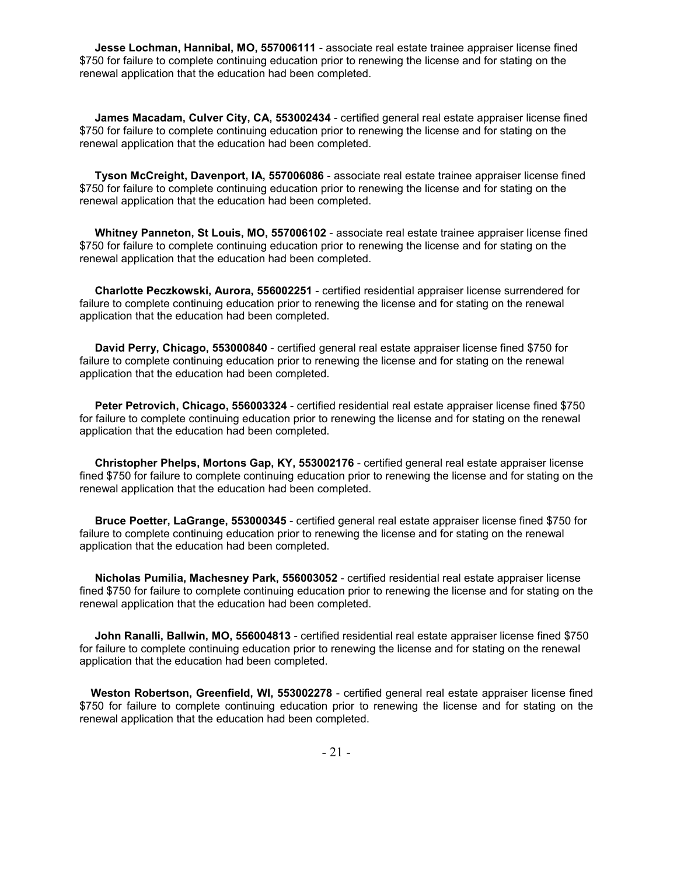**Jesse Lochman, Hannibal, MO, 557006111** - associate real estate trainee appraiser license fined \$750 for failure to complete continuing education prior to renewing the license and for stating on the renewal application that the education had been completed.

 **James Macadam, Culver City, CA, 553002434** - certified general real estate appraiser license fined \$750 for failure to complete continuing education prior to renewing the license and for stating on the renewal application that the education had been completed.

 **Tyson McCreight, Davenport, IA, 557006086** - associate real estate trainee appraiser license fined \$750 for failure to complete continuing education prior to renewing the license and for stating on the renewal application that the education had been completed.

 **Whitney Panneton, St Louis, MO, 557006102** - associate real estate trainee appraiser license fined \$750 for failure to complete continuing education prior to renewing the license and for stating on the renewal application that the education had been completed.

 **Charlotte Peczkowski, Aurora, 556002251** - certified residential appraiser license surrendered for failure to complete continuing education prior to renewing the license and for stating on the renewal application that the education had been completed.

 **David Perry, Chicago, 553000840** - certified general real estate appraiser license fined \$750 for failure to complete continuing education prior to renewing the license and for stating on the renewal application that the education had been completed.

 **Peter Petrovich, Chicago, 556003324** - certified residential real estate appraiser license fined \$750 for failure to complete continuing education prior to renewing the license and for stating on the renewal application that the education had been completed.

 **Christopher Phelps, Mortons Gap, KY, 553002176** - certified general real estate appraiser license fined \$750 for failure to complete continuing education prior to renewing the license and for stating on the renewal application that the education had been completed.

 **Bruce Poetter, LaGrange, 553000345** - certified general real estate appraiser license fined \$750 for failure to complete continuing education prior to renewing the license and for stating on the renewal application that the education had been completed.

 **Nicholas Pumilia, Machesney Park, 556003052** - certified residential real estate appraiser license fined \$750 for failure to complete continuing education prior to renewing the license and for stating on the renewal application that the education had been completed.

 **John Ranalli, Ballwin, MO, 556004813** - certified residential real estate appraiser license fined \$750 for failure to complete continuing education prior to renewing the license and for stating on the renewal application that the education had been completed.

 **Weston Robertson, Greenfield, WI, 553002278** - certified general real estate appraiser license fined \$750 for failure to complete continuing education prior to renewing the license and for stating on the renewal application that the education had been completed.

- 21 -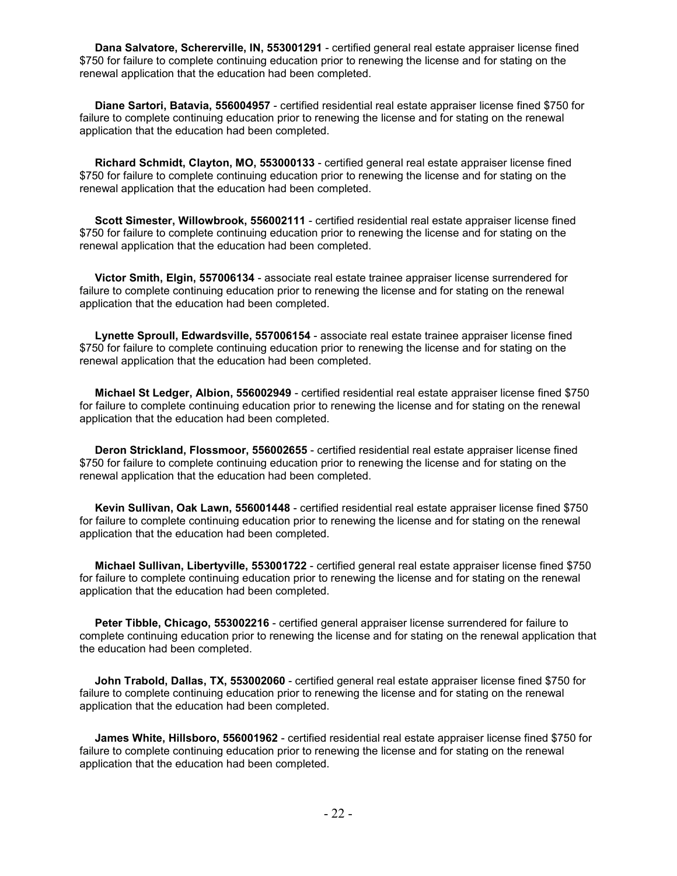**Dana Salvatore, Schererville, IN, 553001291** - certified general real estate appraiser license fined \$750 for failure to complete continuing education prior to renewing the license and for stating on the renewal application that the education had been completed.

 **Diane Sartori, Batavia, 556004957** - certified residential real estate appraiser license fined \$750 for failure to complete continuing education prior to renewing the license and for stating on the renewal application that the education had been completed.

 **Richard Schmidt, Clayton, MO, 553000133** - certified general real estate appraiser license fined \$750 for failure to complete continuing education prior to renewing the license and for stating on the renewal application that the education had been completed.

 **Scott Simester, Willowbrook, 556002111** - certified residential real estate appraiser license fined \$750 for failure to complete continuing education prior to renewing the license and for stating on the renewal application that the education had been completed.

 **Victor Smith, Elgin, 557006134** - associate real estate trainee appraiser license surrendered for failure to complete continuing education prior to renewing the license and for stating on the renewal application that the education had been completed.

 **Lynette Sproull, Edwardsville, 557006154** - associate real estate trainee appraiser license fined \$750 for failure to complete continuing education prior to renewing the license and for stating on the renewal application that the education had been completed.

 **Michael St Ledger, Albion, 556002949** - certified residential real estate appraiser license fined \$750 for failure to complete continuing education prior to renewing the license and for stating on the renewal application that the education had been completed.

 **Deron Strickland, Flossmoor, 556002655** - certified residential real estate appraiser license fined \$750 for failure to complete continuing education prior to renewing the license and for stating on the renewal application that the education had been completed.

 **Kevin Sullivan, Oak Lawn, 556001448** - certified residential real estate appraiser license fined \$750 for failure to complete continuing education prior to renewing the license and for stating on the renewal application that the education had been completed.

 **Michael Sullivan, Libertyville, 553001722** - certified general real estate appraiser license fined \$750 for failure to complete continuing education prior to renewing the license and for stating on the renewal application that the education had been completed.

 **Peter Tibble, Chicago, 553002216** - certified general appraiser license surrendered for failure to complete continuing education prior to renewing the license and for stating on the renewal application that the education had been completed.

 **John Trabold, Dallas, TX, 553002060** - certified general real estate appraiser license fined \$750 for failure to complete continuing education prior to renewing the license and for stating on the renewal application that the education had been completed.

 **James White, Hillsboro, 556001962** - certified residential real estate appraiser license fined \$750 for failure to complete continuing education prior to renewing the license and for stating on the renewal application that the education had been completed.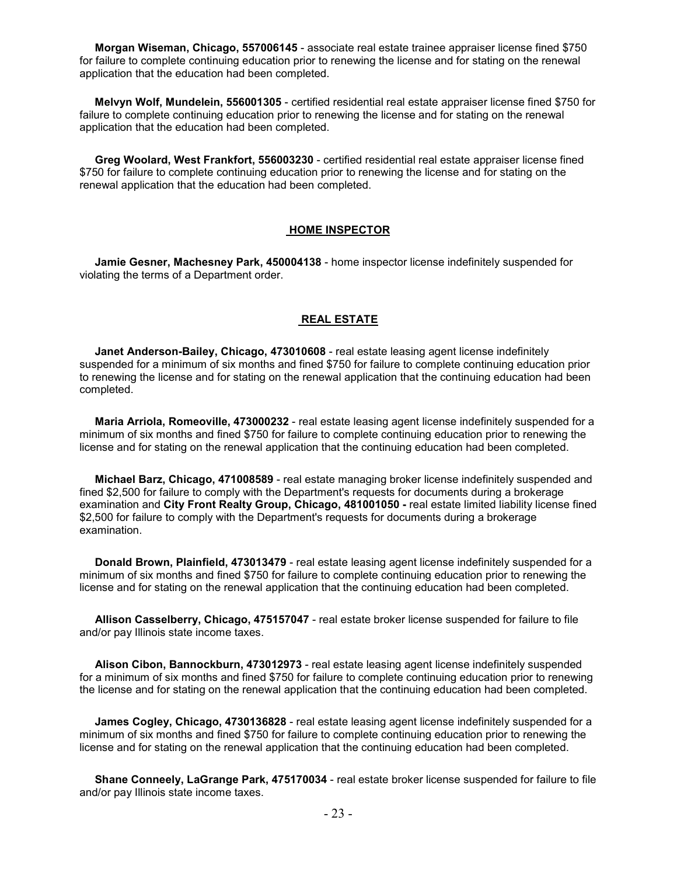**Morgan Wiseman, Chicago, 557006145** - associate real estate trainee appraiser license fined \$750 for failure to complete continuing education prior to renewing the license and for stating on the renewal application that the education had been completed.

 **Melvyn Wolf, Mundelein, 556001305** - certified residential real estate appraiser license fined \$750 for failure to complete continuing education prior to renewing the license and for stating on the renewal application that the education had been completed.

 **Greg Woolard, West Frankfort, 556003230** - certified residential real estate appraiser license fined \$750 for failure to complete continuing education prior to renewing the license and for stating on the renewal application that the education had been completed.

#### **HOME INSPECTOR**

 **Jamie Gesner, Machesney Park, 450004138** - home inspector license indefinitely suspended for violating the terms of a Department order.

#### **REAL ESTATE**

 **Janet Anderson-Bailey, Chicago, 473010608** - real estate leasing agent license indefinitely suspended for a minimum of six months and fined \$750 for failure to complete continuing education prior to renewing the license and for stating on the renewal application that the continuing education had been completed.

 **Maria Arriola, Romeoville, 473000232** - real estate leasing agent license indefinitely suspended for a minimum of six months and fined \$750 for failure to complete continuing education prior to renewing the license and for stating on the renewal application that the continuing education had been completed.

 **Michael Barz, Chicago, 471008589** - real estate managing broker license indefinitely suspended and fined \$2,500 for failure to comply with the Department's requests for documents during a brokerage examination and **City Front Realty Group, Chicago, 481001050 -** real estate limited liability license fined \$2,500 for failure to comply with the Department's requests for documents during a brokerage examination.

 **Donald Brown, Plainfield, 473013479** - real estate leasing agent license indefinitely suspended for a minimum of six months and fined \$750 for failure to complete continuing education prior to renewing the license and for stating on the renewal application that the continuing education had been completed.

 **Allison Casselberry, Chicago, 475157047** - real estate broker license suspended for failure to file and/or pay Illinois state income taxes.

 **Alison Cibon, Bannockburn, 473012973** - real estate leasing agent license indefinitely suspended for a minimum of six months and fined \$750 for failure to complete continuing education prior to renewing the license and for stating on the renewal application that the continuing education had been completed.

 **James Cogley, Chicago, 4730136828** - real estate leasing agent license indefinitely suspended for a minimum of six months and fined \$750 for failure to complete continuing education prior to renewing the license and for stating on the renewal application that the continuing education had been completed.

 **Shane Conneely, LaGrange Park, 475170034** - real estate broker license suspended for failure to file and/or pay Illinois state income taxes.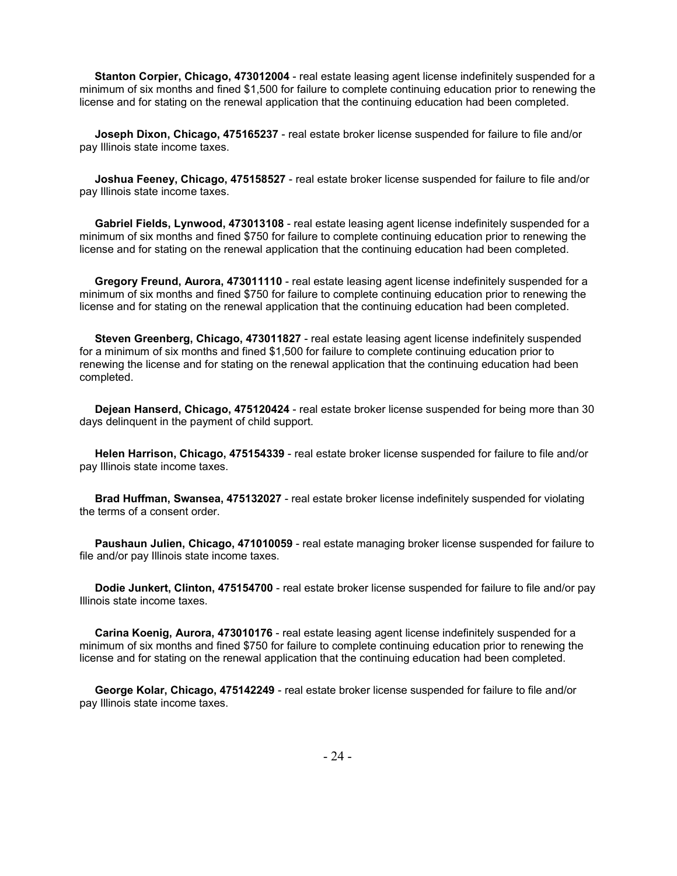**Stanton Corpier, Chicago, 473012004** - real estate leasing agent license indefinitely suspended for a minimum of six months and fined \$1,500 for failure to complete continuing education prior to renewing the license and for stating on the renewal application that the continuing education had been completed.

 **Joseph Dixon, Chicago, 475165237** - real estate broker license suspended for failure to file and/or pay Illinois state income taxes.

 **Joshua Feeney, Chicago, 475158527** - real estate broker license suspended for failure to file and/or pay Illinois state income taxes.

 **Gabriel Fields, Lynwood, 473013108** - real estate leasing agent license indefinitely suspended for a minimum of six months and fined \$750 for failure to complete continuing education prior to renewing the license and for stating on the renewal application that the continuing education had been completed.

 **Gregory Freund, Aurora, 473011110** - real estate leasing agent license indefinitely suspended for a minimum of six months and fined \$750 for failure to complete continuing education prior to renewing the license and for stating on the renewal application that the continuing education had been completed.

 **Steven Greenberg, Chicago, 473011827** - real estate leasing agent license indefinitely suspended for a minimum of six months and fined \$1,500 for failure to complete continuing education prior to renewing the license and for stating on the renewal application that the continuing education had been completed.

 **Dejean Hanserd, Chicago, 475120424** - real estate broker license suspended for being more than 30 days delinquent in the payment of child support.

 **Helen Harrison, Chicago, 475154339** - real estate broker license suspended for failure to file and/or pay Illinois state income taxes.

 **Brad Huffman, Swansea, 475132027** - real estate broker license indefinitely suspended for violating the terms of a consent order.

 **Paushaun Julien, Chicago, 471010059** - real estate managing broker license suspended for failure to file and/or pay Illinois state income taxes.

 **Dodie Junkert, Clinton, 475154700** - real estate broker license suspended for failure to file and/or pay Illinois state income taxes.

 **Carina Koenig, Aurora, 473010176** - real estate leasing agent license indefinitely suspended for a minimum of six months and fined \$750 for failure to complete continuing education prior to renewing the license and for stating on the renewal application that the continuing education had been completed.

 **George Kolar, Chicago, 475142249** - real estate broker license suspended for failure to file and/or pay Illinois state income taxes.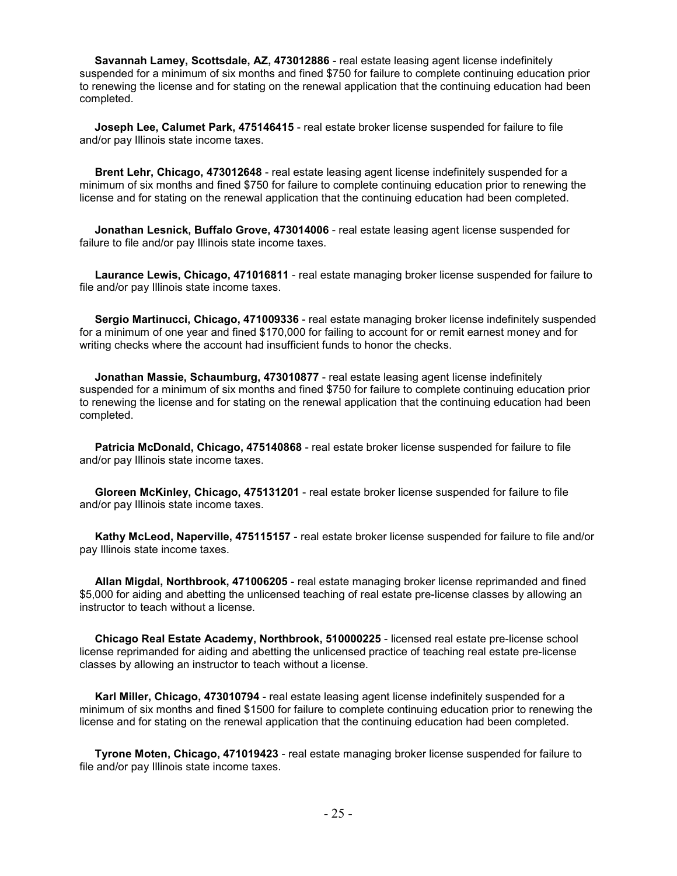**Savannah Lamey, Scottsdale, AZ, 473012886** - real estate leasing agent license indefinitely suspended for a minimum of six months and fined \$750 for failure to complete continuing education prior to renewing the license and for stating on the renewal application that the continuing education had been completed.

 **Joseph Lee, Calumet Park, 475146415** - real estate broker license suspended for failure to file and/or pay Illinois state income taxes.

 **Brent Lehr, Chicago, 473012648** - real estate leasing agent license indefinitely suspended for a minimum of six months and fined \$750 for failure to complete continuing education prior to renewing the license and for stating on the renewal application that the continuing education had been completed.

 **Jonathan Lesnick, Buffalo Grove, 473014006** - real estate leasing agent license suspended for failure to file and/or pay Illinois state income taxes.

 **Laurance Lewis, Chicago, 471016811** - real estate managing broker license suspended for failure to file and/or pay Illinois state income taxes.

 **Sergio Martinucci, Chicago, 471009336** - real estate managing broker license indefinitely suspended for a minimum of one year and fined \$170,000 for failing to account for or remit earnest money and for writing checks where the account had insufficient funds to honor the checks.

 **Jonathan Massie, Schaumburg, 473010877** - real estate leasing agent license indefinitely suspended for a minimum of six months and fined \$750 for failure to complete continuing education prior to renewing the license and for stating on the renewal application that the continuing education had been completed.

 **Patricia McDonald, Chicago, 475140868** - real estate broker license suspended for failure to file and/or pay Illinois state income taxes.

 **Gloreen McKinley, Chicago, 475131201** - real estate broker license suspended for failure to file and/or pay Illinois state income taxes.

 **Kathy McLeod, Naperville, 475115157** - real estate broker license suspended for failure to file and/or pay Illinois state income taxes.

 **Allan Migdal, Northbrook, 471006205** - real estate managing broker license reprimanded and fined \$5,000 for aiding and abetting the unlicensed teaching of real estate pre-license classes by allowing an instructor to teach without a license.

 **Chicago Real Estate Academy, Northbrook, 510000225** - licensed real estate pre-license school license reprimanded for aiding and abetting the unlicensed practice of teaching real estate pre-license classes by allowing an instructor to teach without a license.

 **Karl Miller, Chicago, 473010794** - real estate leasing agent license indefinitely suspended for a minimum of six months and fined \$1500 for failure to complete continuing education prior to renewing the license and for stating on the renewal application that the continuing education had been completed.

 **Tyrone Moten, Chicago, 471019423** - real estate managing broker license suspended for failure to file and/or pay Illinois state income taxes.